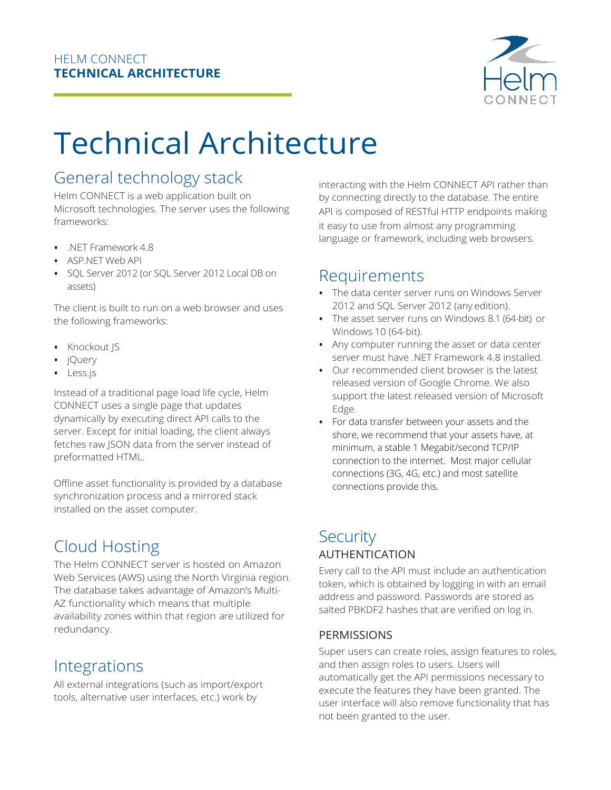

# Technical Architecture

# General technology stack

Helm CONNECT is a web application built on Microsoft technologies. The server uses the following frameworks:

- .NET Framework 4.8
- ASP.NET Web API
- SQL Server 2012 (or SQL Server 2012 Local DB on assets)

The client is built to run on a web browser and uses the following frameworks:

- Knockout JS
- jQuery
- Less.js

Instead of a traditional page load life cycle, Helm CONNECT uses a single page that updates dynamically by executing direct API calls to the server. Except for initial loading, the client always fetches raw JSON data from the server instead of preformatted HTML.

Offline asset functionality is provided by a database synchronization process and a mirrored stack installed on the asset computer.

# Cloud Hosting

The Helm CONNECT server is hosted on Amazon Web Services (AWS) using the North Virginia region. The database takes advantage of Amazon's Multi-AZ functionality which means that multiple availability zones within that region are utilized for redundancy.

## Integrations

All external integrations (such as import/export tools, alternative user interfaces, etc.) work by

interacting with the Helm CONNECT API rather than by connecting directly to the database. The entire API is composed of RESTful HTTP endpoints making it easy to use from almost any programming language or framework, including web browsers.

## Requirements

- The data center server runs on Windows Server 2012 and SQL Server 2012 (any edition).
- The asset server runs on Windows 8.1 (64-bit) or Windows 10 (64-bit).
- Any computer running the asset or data center server must have .NET Framework 4.8 installed.
- Our recommended client browser is the latest released version of Google Chrome. We also support the latest released version of Microsoft Edge.
- For data transfer between your assets and the shore, we recommend that your assets have, at minimum, a stable 1 Megabit/second TCP/IP connection to the internet. Most major cellular connections (3G, 4G, etc.) and most satellite connections provide this.

### **Security** AUTHENTICATION

Every call to the API must include an authentication token, which is obtained by logging in with an email address and password. Passwords are stored as salted PBKDF2 hashes that are verified on log in.

#### PERMISSIONS

Super users can create roles, assign features to roles, and then assign roles to users. Users will automatically get the API permissions necessary to execute the features they have been granted. The user interface will also remove functionality that has not been granted to the user.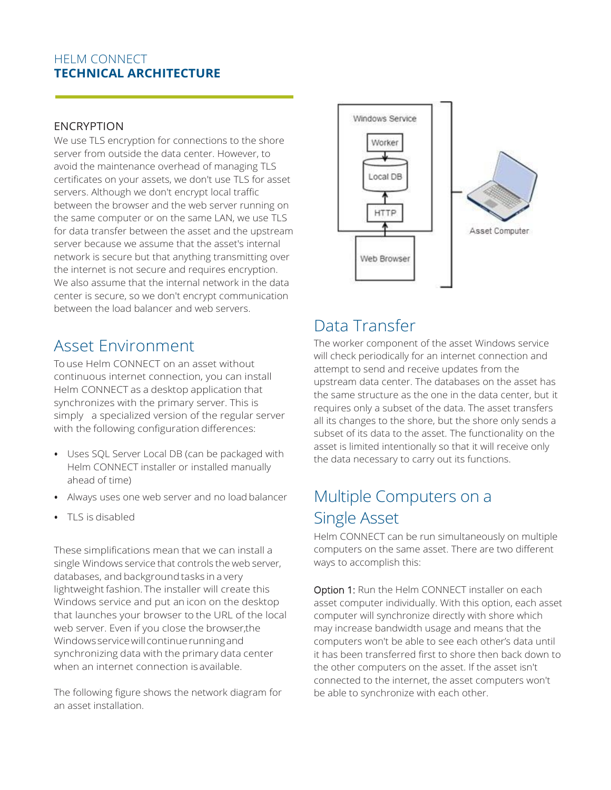#### HELM CONNECT **TECHNICAL ARCHITECTURE**

#### ENCRYPTION

We use TLS encryption for connections to the shore server from outside the data center. However, to avoid the maintenance overhead of managing TLS certificates on your assets, we don't use TLS for asset servers. Although we don't encrypt local traffic between the browser and the web server running on the same computer or on the same LAN, we use TLS for data transfer between the asset and the upstream server because we assume that the asset's internal network is secure but that anything transmitting over the internet is not secure and requires encryption. We also assume that the internal network in the data center is secure, so we don't encrypt communication between the load balancer and web servers.

## Asset Environment

To use Helm CONNECT on an asset without continuous internet connection, you can install Helm CONNECT as a desktop application that synchronizes with the primary server. This is simply a specialized version of the regular server with the following configuration differences:

- Uses SQL Server Local DB (can be packaged with Helm CONNECT installer or installed manually ahead of time)
- Always uses one web server and no load balancer
- TLS is disabled

These simplifications mean that we can install a single Windows service that controls the web server, databases, and background tasks in a very lightweight fashion. The installer will create this Windows service and put an icon on the desktop that launches your browser to the URL of the local web server. Even if you close the browser, the Windows service will continue running and synchronizing data with the primary data center when an internet connection is available.

The following figure shows the network diagram for an asset installation.



## Data Transfer

The worker component of the asset Windows service will check periodically for an internet connection and attempt to send and receive updates from the upstream data center. The databases on the asset has the same structure as the one in the data center, but it requires only a subset of the data. The asset transfers all its changes to the shore, but the shore only sends a subset of its data to the asset. The functionality on the asset is limited intentionally so that it will receive only the data necessary to carry out its functions.

# Multiple Computers on a Single Asset

Helm CONNECT can be run simultaneously on multiple computers on the same asset. There are two different ways to accomplish this:

Option 1: Run the Helm CONNECT installer on each asset computer individually. With this option, each asset computer will synchronize directly with shore which may increase bandwidth usage and means that the computers won't be able to see each other's data until it has been transferred first to shore then back down to the other computers on the asset. If the asset isn't connected to the internet, the asset computers won't be able to synchronize with each other.